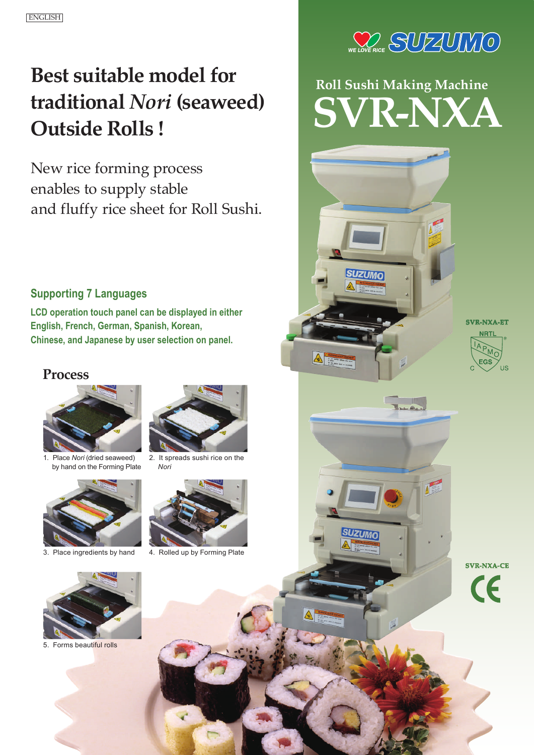## **Best suitable model for traditional** *Nori* **(seaweed) Outside Rolls !**

New rice forming process enables to supply stable and fluffy rice sheet for Roll Sushi.

### **Supporting 7 Languages**

**LCD operation touch panel can be displayed in either English, French, German, Spanish, Korean, Chinese, and Japanese by user selection on panel.**

### **Process**



1. Place *Nori* (dried seaweed) by hand on the Forming Plate





2. It spreads sushi rice on the *Nori*



3. Place ingredients by hand 4. Rolled up by Forming Plate



# **Roll Sushi Making Machine SVR-NXA**

 $\overline{\phantom{a}}$ 

**SVR-NXA-ET**



**SVR-NXA-CE**



5. Forms beautiful rolls